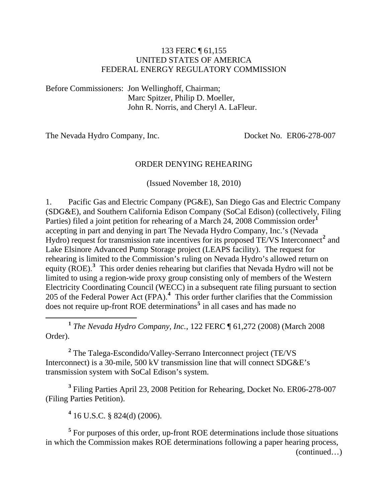#### 133 FERC ¶ 61,155 UNITED STATES OF AMERICA FEDERAL ENERGY REGULATORY COMMISSION

Before Commissioners: Jon Wellinghoff, Chairman; Marc Spitzer, Philip D. Moeller, John R. Norris, and Cheryl A. LaFleur.

The Nevada Hydro Company, Inc. Docket No. ER06-278-007

#### ORDER DENYING REHEARING

(Issued November 18, 2010)

1. Pacific Gas and Electric Company (PG&E), San Diego Gas and Electric Company (SDG&E), and Southern California Edison Company (SoCal Edison) (collectively, Filing Parties) filed a joint petition for rehearing of a March 24, 2008 Commission order**[1](#page-0-0)** accepting in part and denying in part The Nevada Hydro Company, Inc.'s (Nevada Hydro) request for transmission rate incentives for its proposed TE/VS Interconnect<sup>[2](#page-0-1)</sup> and Lake Elsinore Advanced Pump Storage project (LEAPS facility). The request for rehearing is limited to the Commission's ruling on Nevada Hydro's allowed return on equity (ROE).<sup>[3](#page-0-2)</sup> This order denies rehearing but clarifies that Nevada Hydro will not be limited to using a region-wide proxy group consisting only of members of the Western Electricity Coordinating Council (WECC) in a subsequent rate filing pursuant to section 205 of the Federal Power Act (FPA).**[4](#page-0-3)** This order further clarifies that the Commission does not require up-front ROE determinations**[5](#page-0-4)** in all cases and has made no

<span id="page-0-0"></span>**<sup>1</sup>** *The Nevada Hydro Company, Inc.*, 122 FERC ¶ 61,272 (2008) (March 2008 Order).

<span id="page-0-1"></span><sup>2</sup> The Talega-Escondido/Valley-Serrano Interconnect project (TE/VS Interconnect) is a 30-mile, 500 kV transmission line that will connect SDG&E's transmission system with SoCal Edison's system.

<span id="page-0-2"></span>**3** Filing Parties April 23, 2008 Petition for Rehearing, Docket No. ER06-278-007 (Filing Parties Petition).

**4** 16 U.S.C. § 824(d) (2006).

 $\overline{a}$ 

<span id="page-0-4"></span><span id="page-0-3"></span><sup>5</sup> For purposes of this order, up-front ROE determinations include those situations in which the Commission makes ROE determinations following a paper hearing process,

(continued…)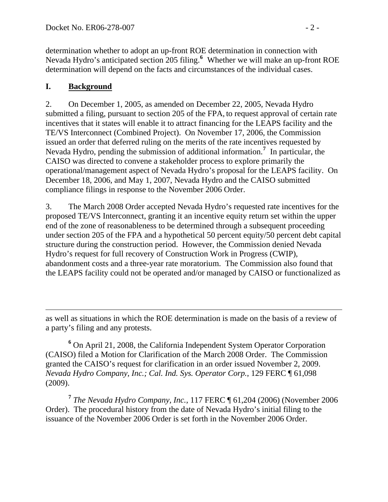determination whether to adopt an up-front ROE determination in connection with Nevada Hydro's anticipated section 205 filing.**<sup>6</sup>** Whether we will make an up-front ROE determination will depend on the facts and circumstances of the individual cases.

### **I. Background**

 $\overline{a}$ 

2. On December 1, 2005, as amended on December 22, 2005, Nevada Hydro submitted a filing, pursuant to section 205 of the FPA, to request approval of certain rate incentives that it states will enable it to attract financing for the LEAPS facility and the TE/VS Interconnect (Combined Project).On November 17, 2006, the Commission issued an order that deferred ruling on the merits of the rate incentives requested by Nevada Hydro, pending the submission of additional information.**[7](#page-1-0)** In particular, the CAISO was directed to convene a stakeholder process to explore primarily the operational/management aspect of Nevada Hydro's proposal for the LEAPS facility. On December 18, 2006, and May 1, 2007, Nevada Hydro and the CAISO submitted compliance filings in response to the November 2006 Order.

3. The March 2008 Order accepted Nevada Hydro's requested rate incentives for the proposed TE/VS Interconnect, granting it an incentive equity return set within the upper end of the zone of reasonableness to be determined through a subsequent proceeding under section 205 of the FPA and a hypothetical 50 percent equity/50 percent debt capital structure during the construction period. However, the Commission denied Nevada Hydro's request for full recovery of Construction Work in Progress (CWIP), abandonment costs and a three-year rate moratorium. The Commission also found that the LEAPS facility could not be operated and/or managed by CAISO or functionalized as

as well as situations in which the ROE determination is made on the basis of a review of a party's filing and any protests.

<sup>6</sup> On April 21, 2008, the California Independent System Operator Corporation (CAISO) filed a Motion for Clarification of the March 2008 Order. The Commission granted the CAISO's request for clarification in an order issued November 2, 2009. *Nevada Hydro Company, Inc.; Cal. Ind. Sys. Operator Corp.*, 129 FERC ¶ 61,098 (2009).

<span id="page-1-0"></span>**<sup>7</sup>** *The Nevada Hydro Company, Inc.*, 117 FERC ¶ 61,204 (2006) (November 2006 Order). The procedural history from the date of Nevada Hydro's initial filing to the issuance of the November 2006 Order is set forth in the November 2006 Order.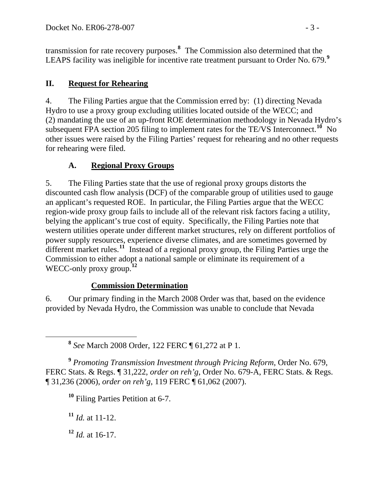transmission for rate recovery purposes.**<sup>8</sup>** The Commission also determined that the LEAPS facility was ineligible for incentive rate treatment pursuant to Order No. 679.**<sup>9</sup>**

### **II. Request for Rehearing**

4. The Filing Parties argue that the Commission erred by: (1) directing Nevada Hydro to use a proxy group excluding utilities located outside of the WECC; and (2) mandating the use of an up-front ROE determination methodology in Nevada Hydro's subsequent FPA section 205 filing to implement rates for the TE/VS Interconnect.**[10](#page-2-0)** No other issues were raised by the Filing Parties' request for rehearing and no other requests for rehearing were filed.

### **A. Regional Proxy Groups**

5. The Filing Parties state that the use of regional proxy groups distorts the discounted cash flow analysis (DCF) of the comparable group of utilities used to gauge an applicant's requested ROE. In particular, the Filing Parties argue that the WECC region-wide proxy group fails to include all of the relevant risk factors facing a utility, belying the applicant's true cost of equity. Specifically, the Filing Parties note that western utilities operate under different market structures, rely on different portfolios of power supply resources, experience diverse climates, and are sometimes governed by different market rules.<sup>[11](#page-2-1)</sup> Instead of a regional proxy group, the Filing Parties urge the Commission to either adopt a national sample or eliminate its requirement of a WECC-only proxy group.<sup>[12](#page-2-2)</sup>

#### **Commission Determination**

6. Our primary finding in the March 2008 Order was that, based on the evidence provided by Nevada Hydro, the Commission was unable to conclude that Nevada

**<sup>8</sup>** *See* March 2008 Order, 122 FERC ¶ 61,272 at P 1.

<span id="page-2-0"></span>**<sup>9</sup>** *Promoting Transmission Investment through Pricing Reform*, Order No. 679, FERC Stats. & Regs. ¶ 31,222, *order on reh'g*, Order No. 679-A, FERC Stats. & Regs. ¶ 31,236 (2006), *order on reh'g*, 119 FERC ¶ 61,062 (2007).

**<sup>10</sup>** Filing Parties Petition at 6-7.

<span id="page-2-1"></span>**<sup>11</sup>** *Id.* at 11-12.

<span id="page-2-2"></span>**<sup>12</sup>** *Id.* at 16-17.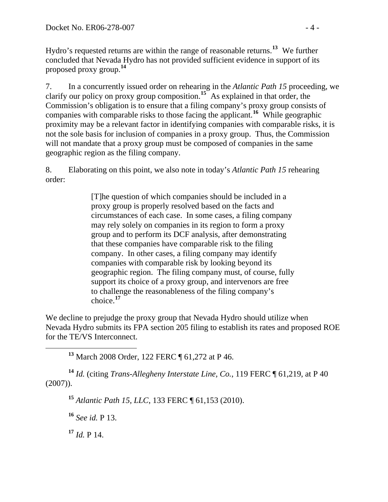Hydro's requested returns are within the range of reasonable returns.**<sup>13</sup>** We further concluded that Nevada Hydro has not provided sufficient evidence in support of its proposed proxy group.**<sup>14</sup>**

7. In a concurrently issued order on rehearing in the *Atlantic Path 15* proceeding, we clarify our policy on proxy group composition.**[15](#page-3-0)** As explained in that order, the Commission's obligation is to ensure that a filing company's proxy group consists of companies with comparable risks to those facing the applicant.**[16](#page-3-1)** While geographic proximity may be a relevant factor in identifying companies with comparable risks, it is not the sole basis for inclusion of companies in a proxy group. Thus, the Commission will not mandate that a proxy group must be composed of companies in the same geographic region as the filing company.

8. Elaborating on this point, we also note in today's *Atlantic Path 15* rehearing order:

> [T]he question of which companies should be included in a proxy group is properly resolved based on the facts and circumstances of each case. In some cases, a filing company may rely solely on companies in its region to form a proxy group and to perform its DCF analysis, after demonstrating that these companies have comparable risk to the filing company. In other cases, a filing company may identify companies with comparable risk by looking beyond its geographic region. The filing company must, of course, fully support its choice of a proxy group, and intervenors are free to challenge the reasonableness of the filing company's choice.**[17](#page-3-2)**

We decline to prejudge the proxy group that Nevada Hydro should utilize when Nevada Hydro submits its FPA section 205 filing to establish its rates and proposed ROE for the TE/VS Interconnect.

**<sup>13</sup>** March 2008 Order, 122 FERC ¶ 61,272 at P 46.

<span id="page-3-1"></span><span id="page-3-0"></span>**<sup>14</sup>** *Id.* (citing *Trans-Allegheny Interstate Line, Co.*, 119 FERC ¶ 61,219, at P 40 (2007)).

**<sup>15</sup>** *Atlantic Path 15, LLC*, 133 FERC ¶ 61,153 (2010).

**<sup>16</sup>** *See id.* P 13.

<span id="page-3-2"></span> $17$  *Id.* P 14.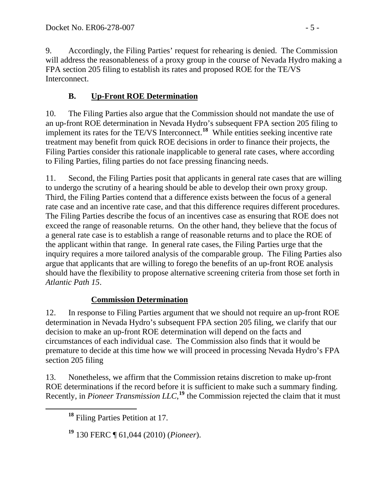9. Accordingly, the Filing Parties' request for rehearing is denied. The Commission will address the reasonableness of a proxy group in the course of Nevada Hydro making a FPA section 205 filing to establish its rates and proposed ROE for the TE/VS Interconnect.

# **B. Up-Front ROE Determination**

10. The Filing Parties also argue that the Commission should not mandate the use of an up-front ROE determination in Nevada Hydro's subsequent FPA section 205 filing to implement its rates for the TE/VS Interconnect.**[18](#page-4-0)** While entities seeking incentive rate treatment may benefit from quick ROE decisions in order to finance their projects, the Filing Parties consider this rationale inapplicable to general rate cases, where according to Filing Parties, filing parties do not face pressing financing needs.

11. Second, the Filing Parties posit that applicants in general rate cases that are willing to undergo the scrutiny of a hearing should be able to develop their own proxy group. Third, the Filing Parties contend that a difference exists between the focus of a general rate case and an incentive rate case, and that this difference requires different procedures. The Filing Parties describe the focus of an incentives case as ensuring that ROE does not exceed the range of reasonable returns. On the other hand, they believe that the focus of a general rate case is to establish a range of reasonable returns and to place the ROE of the applicant within that range. In general rate cases, the Filing Parties urge that the inquiry requires a more tailored analysis of the comparable group. The Filing Parties also argue that applicants that are willing to forego the benefits of an up-front ROE analysis should have the flexibility to propose alternative screening criteria from those set forth in *Atlantic Path 15*.

## **Commission Determination**

12. In response to Filing Parties argument that we should not require an up-front ROE determination in Nevada Hydro's subsequent FPA section 205 filing, we clarify that our decision to make an up-front ROE determination will depend on the facts and circumstances of each individual case. The Commission also finds that it would be premature to decide at this time how we will proceed in processing Nevada Hydro's FPA section 205 filing

<span id="page-4-0"></span>13. Nonetheless, we affirm that the Commission retains discretion to make up-front ROE determinations if the record before it is sufficient to make such a summary finding. Recently, in *Pioneer Transmission LLC*,<sup>[19](#page-4-1)</sup> the Commission rejected the claim that it must

**<sup>18</sup>** Filing Parties Petition at 17.

<span id="page-4-1"></span>**<sup>19</sup>** 130 FERC ¶ 61,044 (2010) (*Pioneer*).